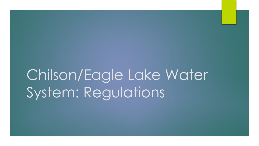# Chilson/Eagle Lake Water System: Regulations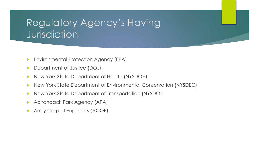#### Regulatory Agency's Having Jurisdiction

- **Environmental Protection Agency (EPA)**
- Department of Justice (DOJ)
- New York State Department of Health (NYSDOH)
- ▶ New York State Department of Environmental Conservation (NYSDEC)
- New York State Department of Transportation (NYSDOT)
- Adirondack Park Agency (APA)
- Army Corp of Engineers (ACOE)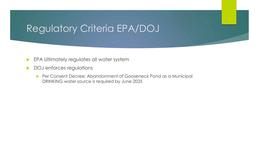## Regulatory Criteria EPA/DOJ

- **EPA Ultimately regulates all water system**
- DOJ enforces regulations
	- **Per Consent Decree: Abandonment of Gooseneck Pond as a Municipal** DRINKING water source is required by June 2025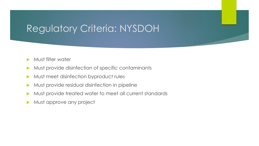## Regulatory Criteria: NYSDOH

- **Must filter water**
- Must provide disinfection of specific contaminants
- Must meet disinfection byproduct rules
- Must provide residual disinfection in pipeline
- Must provide treated water to meet all current standards
- Must approve any project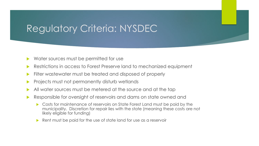### Regulatory Criteria: NYSDEC

- Water sources must be permitted for use
- Restrictions in access to Forest Preserve land to mechanized equipment
- Filter wastewater must be treated and disposed of properly
- Projects must not permanently disturb wetlands
- All water sources must be metered at the source and at the tap
- Responsible for oversight of reservoirs and dams on state owned and
	- Costs for maintenance of reservoirs on State Forest Land must be paid by the municipality. Discretion for repair lies with the state (meaning these costs are not likely eligible for funding)
	- Rent must be paid for the use of state land for use as a reservoir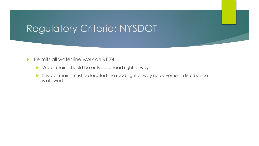## Regulatory Criteria: NYSDOT

#### Permits all water line work on RT 74

- ▶ Water mains should be outside of road right of way
- If water mains must be located the road right of way no pavement disturbance is allowed